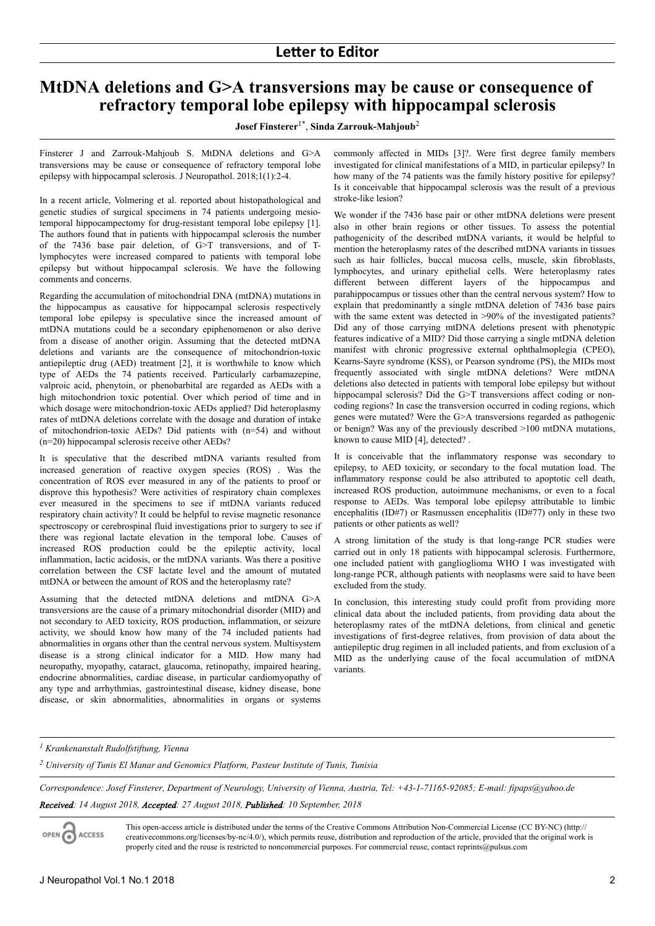# **MtDNA deletions and G>A transversions may be cause or consequence of refractory temporal lobe epilepsy with hippocampal sclerosis**

### **Josef Finsterer**1\* , **Sinda Zarrouk-Mahjoub**<sup>2</sup>

Finsterer J and Zarrouk-Mahjoub S. MtDNA deletions and G>A transversions may be cause or consequence of refractory temporal lobe epilepsy with hippocampal sclerosis. J Neuropathol. 2018;1(1):2-4.

In a recent article, Volmering et al. reported about histopathological and genetic studies of surgical specimens in 74 patients undergoing mesiotemporal hippocampectomy for drug-resistant temporal lobe epilepsy [1]. The authors found that in patients with hippocampal sclerosis the number of the 7436 base pair deletion, of G>T transversions, and of Tlymphocytes were increased compared to patients with temporal lobe epilepsy but without hippocampal sclerosis. We have the following comments and concerns.

Regarding the accumulation of mitochondrial DNA (mtDNA) mutations in the hippocampus as causative for hippocampal sclerosis respectively temporal lobe epilepsy is speculative since the increased amount of mtDNA mutations could be a secondary epiphenomenon or also derive from a disease of another origin. Assuming that the detected mtDNA deletions and variants are the consequence of mitochondrion-toxic antiepileptic drug (AED) treatment [2], it is worthwhile to know which type of AEDs the 74 patients received. Particularly carbamazepine, valproic acid, phenytoin, or phenobarbital are regarded as AEDs with a high mitochondrion toxic potential. Over which period of time and in which dosage were mitochondrion-toxic AEDs applied? Did heteroplasmy rates of mtDNA deletions correlate with the dosage and duration of intake of mitochondrion-toxic AEDs? Did patients with (n=54) and without (n=20) hippocampal sclerosis receive other AEDs?

It is speculative that the described mtDNA variants resulted from increased generation of reactive oxygen species (ROS) . Was the concentration of ROS ever measured in any of the patients to proof or disprove this hypothesis? Were activities of respiratory chain complexes ever measured in the specimens to see if mtDNA variants reduced respiratory chain activity? It could be helpful to revise magnetic resonance spectroscopy or cerebrospinal fluid investigations prior to surgery to see if there was regional lactate elevation in the temporal lobe. Causes of increased ROS production could be the epileptic activity, local inflammation, lactic acidosis, or the mtDNA variants. Was there a positive correlation between the CSF lactate level and the amount of mutated mtDNA or between the amount of ROS and the heteroplasmy rate?

Assuming that the detected mtDNA deletions and mtDNA G>A transversions are the cause of a primary mitochondrial disorder (MID) and not secondary to AED toxicity, ROS production, inflammation, or seizure activity, we should know how many of the 74 included patients had abnormalities in organs other than the central nervous system. Multisystem disease is a strong clinical indicator for a MID. How many had neuropathy, myopathy, cataract, glaucoma, retinopathy, impaired hearing, endocrine abnormalities, cardiac disease, in particular cardiomyopathy of any type and arrhythmias, gastrointestinal disease, kidney disease, bone disease, or skin abnormalities, abnormalities in organs or systems

commonly affected in MIDs [3]?. Were first degree family members investigated for clinical manifestations of a MID, in particular epilepsy? In how many of the 74 patients was the family history positive for epilepsy? Is it conceivable that hippocampal sclerosis was the result of a previous stroke-like lesion?

We wonder if the 7436 base pair or other mtDNA deletions were present also in other brain regions or other tissues. To assess the potential pathogenicity of the described mtDNA variants, it would be helpful to mention the heteroplasmy rates of the described mtDNA variants in tissues such as hair follicles, buccal mucosa cells, muscle, skin fibroblasts, lymphocytes, and urinary epithelial cells. Were heteroplasmy rates different between different layers of the hippocampus and parahippocampus or tissues other than the central nervous system? How to explain that predominantly a single mtDNA deletion of 7436 base pairs with the same extent was detected in  $>90\%$  of the investigated patients? Did any of those carrying mtDNA deletions present with phenotypic features indicative of a MID? Did those carrying a single mtDNA deletion manifest with chronic progressive external ophthalmoplegia (CPEO), Kearns-Sayre syndrome (KSS), or Pearson syndrome (PS), the MIDs most frequently associated with single mtDNA deletions? Were mtDNA deletions also detected in patients with temporal lobe epilepsy but without hippocampal sclerosis? Did the G>T transversions affect coding or noncoding regions? In case the transversion occurred in coding regions, which genes were mutated? Were the G>A transversions regarded as pathogenic or benign? Was any of the previously described >100 mtDNA mutations, known to cause MID [4], detected? .

It is conceivable that the inflammatory response was secondary to epilepsy, to AED toxicity, or secondary to the focal mutation load. The inflammatory response could be also attributed to apoptotic cell death, increased ROS production, autoimmune mechanisms, or even to a focal response to AEDs. Was temporal lobe epilepsy attributable to limbic encephalitis (ID#7) or Rasmussen encephalitis (ID#77) only in these two patients or other patients as well?

A strong limitation of the study is that long-range PCR studies were carried out in only 18 patients with hippocampal sclerosis. Furthermore, one included patient with ganglioglioma WHO I was investigated with long-range PCR, although patients with neoplasms were said to have been excluded from the study.

In conclusion, this interesting study could profit from providing more clinical data about the included patients, from providing data about the heteroplasmy rates of the mtDNA deletions, from clinical and genetic investigations of first-degree relatives, from provision of data about the antiepileptic drug regimen in all included patients, and from exclusion of a MID as the underlying cause of the focal accumulation of mtDNA variants.

### *1 Krankenanstalt Rudolfstiftung, Vienna*

*2 University of Tunis El Manar and Genomics Platform, Pasteur Institute of Tunis, Tunisia*

*Correspondence: Josef Finsterer, Department of Neurology, University of Vienna, Austria, Tel: +43-1-71165-92085; E-mail: fipaps@yahoo.de*

*Received: 14 August 2018, Accepted: 27 August 2018, Published: 10 September, 2018*

ACCESS

This open-access article is distributed under the terms of the Creative Commons Attribution Non-Commercial License (CC BY-NC) (http:// creativecommons.org/licenses/by-nc/4.0/), which permits reuse, distribution and reproduction of the article, provided that the original work is properly cited and the reuse is restricted to noncommercial purposes. For commercial reuse, contact reprints@pulsus.com